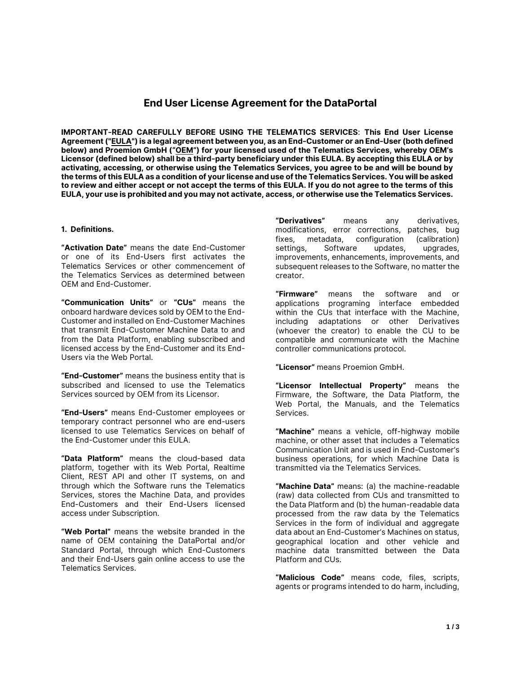# **End User License Agreement for the DataPortal**

**IMPORTANT-READ CAREFULLY BEFORE USING THE TELEMATICS SERVICES**: **This End User License Agreement ("EULA") is a legal agreement between you, as an End-Customer or an End-User (both defined below) and Proemion GmbH ("OEM") for your licensed used of the Telematics Services, whereby OEM's Licensor (defined below) shall be a third-party beneficiary under this EULA. By accepting this EULA or by activating, accessing, or otherwise using the Telematics Services, you agree to be and will be bound by the terms of this EULA as a condition of your license and use of the Telematics Services. You will be asked to review and either accept or not accept the terms of this EULA. If you do not agree to the terms of this EULA, your use is prohibited and you may not activate, access, or otherwise use the Telematics Services.**

#### **1. Definitions.**

**"Activation Date"** means the date End-Customer or one of its End-Users first activates the Telematics Services or other commencement of the Telematics Services as determined between OEM and End-Customer.

**"Communication Units"** or **"CUs"** means the onboard hardware devices sold by OEM to the End-Customer and installed on End-Customer Machines that transmit End-Customer Machine Data to and from the Data Platform, enabling subscribed and licensed access by the End-Customer and its End-Users via the Web Portal.

**"End-Customer"** means the business entity that is subscribed and licensed to use the Telematics Services sourced by OEM from its Licensor.

**"End-Users"** means End-Customer employees or temporary contract personnel who are end-users licensed to use Telematics Services on behalf of the End-Customer under this EULA.

**"Data Platform"** means the cloud-based data platform, together with its Web Portal, Realtime Client, REST API and other IT systems, on and through which the Software runs the Telematics Services, stores the Machine Data, and provides End-Customers and their End-Users licensed access under Subscription.

**"Web Portal"** means the website branded in the name of OEM containing the DataPortal and/or Standard Portal, through which End-Customers and their End-Users gain online access to use the Telematics Services.

**"Derivatives"** means any derivatives, modifications, error corrections, patches, bug fixes, metadata, configuration (calibration)<br>settings, Software updates, upgrades, updates, upgrades, improvements, enhancements, improvements, and subsequent releases to the Software, no matter the creator.

**"Firmware"** means the software and or applications programing interface embedded within the CUs that interface with the Machine, including adaptations or other Derivatives (whoever the creator) to enable the CU to be compatible and communicate with the Machine controller communications protocol.

**"Licensor"** means Proemion GmbH.

**"Licensor Intellectual Property"** means the Firmware, the Software, the Data Platform, the Web Portal, the Manuals, and the Telematics Services.

**"Machine"** means a vehicle, off-highway mobile machine, or other asset that includes a Telematics Communication Unit and is used in End-Customer's business operations, for which Machine Data is transmitted via the Telematics Services.

**"Machine Data"** means: (a) the machine-readable (raw) data collected from CUs and transmitted to the Data Platform and (b) the human-readable data processed from the raw data by the Telematics Services in the form of individual and aggregate data about an End-Customer's Machines on status, geographical location and other vehicle and machine data transmitted between the Data Platform and CUs.

**"Malicious Code"** means code, files, scripts, agents or programs intended to do harm, including,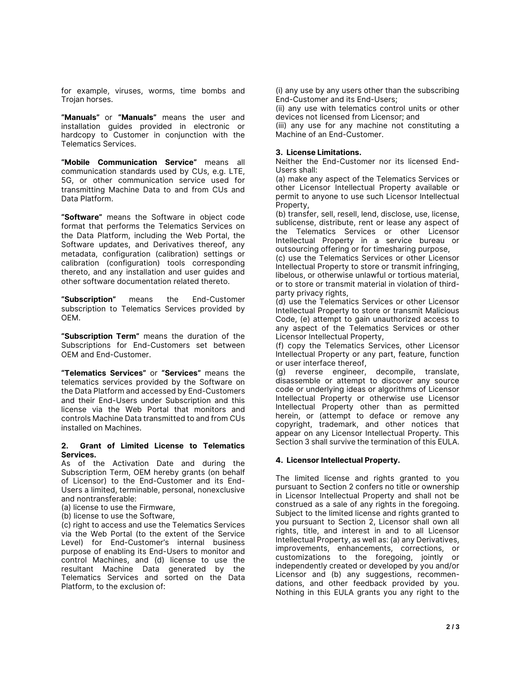for example, viruses, worms, time bombs and Trojan horses.

**"Manuals"** or **"Manuals"** means the user and installation guides provided in electronic or hardcopy to Customer in conjunction with the Telematics Services.

**"Mobile Communication Service"** means all communication standards used by CUs, e.g. LTE, 5G, or other communication service used for transmitting Machine Data to and from CUs and Data Platform.

**"Software"** means the Software in object code format that performs the Telematics Services on the Data Platform, including the Web Portal, the Software updates, and Derivatives thereof, any metadata, configuration (calibration) settings or calibration (configuration) tools corresponding thereto, and any installation and user guides and other software documentation related thereto.

**"Subscription"** means the End-Customer subscription to Telematics Services provided by OEM.

**"Subscription Term"** means the duration of the Subscriptions for End-Customers set between OEM and End-Customer.

**"Telematics Services"** or **"Services"** means the telematics services provided by the Software on the Data Platform and accessed by End-Customers and their End-Users under Subscription and this license via the Web Portal that monitors and controls Machine Data transmitted to and from CUs installed on Machines.

#### **2. Grant of Limited License to Telematics Services.**

As of the Activation Date and during the Subscription Term, OEM hereby grants (on behalf of Licensor) to the End-Customer and its End-Users a limited, terminable, personal, nonexclusive and nontransferable:

(a) license to use the Firmware,

(b) license to use the Software,

(c) right to access and use the Telematics Services via the Web Portal (to the extent of the Service Level) for End-Customer's internal business purpose of enabling its End-Users to monitor and control Machines, and (d) license to use the resultant Machine Data generated by the Telematics Services and sorted on the Data Platform, to the exclusion of:

(i) any use by any users other than the subscribing End-Customer and its End-Users;

(ii) any use with telematics control units or other devices not licensed from Licensor; and

(iii) any use for any machine not constituting a Machine of an End-Customer.

#### **3. License Limitations.**

Neither the End-Customer nor its licensed End-Users shall:

(a) make any aspect of the Telematics Services or other Licensor Intellectual Property available or permit to anyone to use such Licensor Intellectual Property,

(b) transfer, sell, resell, lend, disclose, use, license, sublicense, distribute, rent or lease any aspect of the Telematics Services or other Licensor Intellectual Property in a service bureau or outsourcing offering or for timesharing purpose,

(c) use the Telematics Services or other Licensor Intellectual Property to store or transmit infringing, libelous, or otherwise unlawful or tortious material, or to store or transmit material in violation of thirdparty privacy rights,

(d) use the Telematics Services or other Licensor Intellectual Property to store or transmit Malicious Code, (e) attempt to gain unauthorized access to any aspect of the Telematics Services or other Licensor Intellectual Property,

(f) copy the Telematics Services, other Licensor Intellectual Property or any part, feature, function or user interface thereof,

(g) reverse engineer, decompile, translate, disassemble or attempt to discover any source code or underlying ideas or algorithms of Licensor Intellectual Property or otherwise use Licensor Intellectual Property other than as permitted herein, or (attempt to deface or remove any copyright, trademark, and other notices that appear on any Licensor Intellectual Property. This Section 3 shall survive the termination of this EULA.

### **4. Licensor Intellectual Property.**

The limited license and rights granted to you pursuant to Section 2 confers no title or ownership in Licensor Intellectual Property and shall not be construed as a sale of any rights in the foregoing. Subject to the limited license and rights granted to you pursuant to Section 2, Licensor shall own all rights, title, and interest in and to all Licensor Intellectual Property, as well as: (a) any Derivatives, improvements, enhancements, corrections, or customizations to the foregoing, jointly or independently created or developed by you and/or Licensor and (b) any suggestions, recommendations, and other feedback provided by you. Nothing in this EULA grants you any right to the